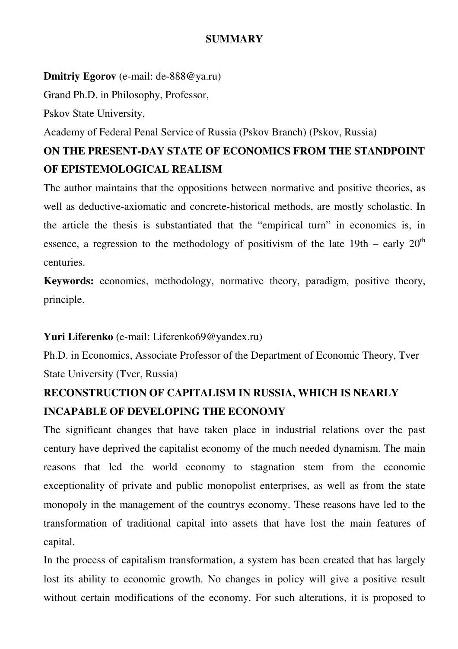## **SUMMARY**

## **Dmitriy Egorov** (e-mail: de-888@ya.ru)

Grand Ph.D. in Philosophy, Professor,

Pskov State University,

Academy of Federal Penal Service of Russia (Pskov Branch) (Pskov, Russia)

## **ON THE PRESENT-DAY STATE OF ECONOMICS FROM THE STANDPOINT OF EPISTEMOLOGICAL REALISM**

The author maintains that the oppositions between normative and positive theories, as well as deductive-axiomatic and concrete-historical methods, are mostly scholastic. In the article the thesis is substantiated that the "empirical turn" in economics is, in essence, a regression to the methodology of positivism of the late  $19th$  – early  $20<sup>th</sup>$ centuries.

**Keywords:** economics, methodology, normative theory, paradigm, positive theory, principle.

## **Yuri Liferenko** (e-mail: Liferenko69@yandex.ru)

Ph.D. in Economics, Associate Professor of the Department of Economic Theory, Tver State University (Tver, Russia)

# **RECONSTRUCTION OF CAPITALISM IN RUSSIA, WHICH IS NEARLY INCAPABLE OF DEVELOPING THE ECONOMY**

The significant changes that have taken place in industrial relations over the past century have deprived the capitalist economy of the much needed dynamism. The main reasons that led the world economy to stagnation stem from the economic exceptionality of private and public monopolist enterprises, as well as from the state monopoly in the management of the countrys economy. These reasons have led to the transformation of traditional capital into assets that have lost the main features of capital.

In the process of capitalism transformation, a system has been created that has largely lost its ability to economic growth. No changes in policy will give a positive result without certain modifications of the economy. For such alterations, it is proposed to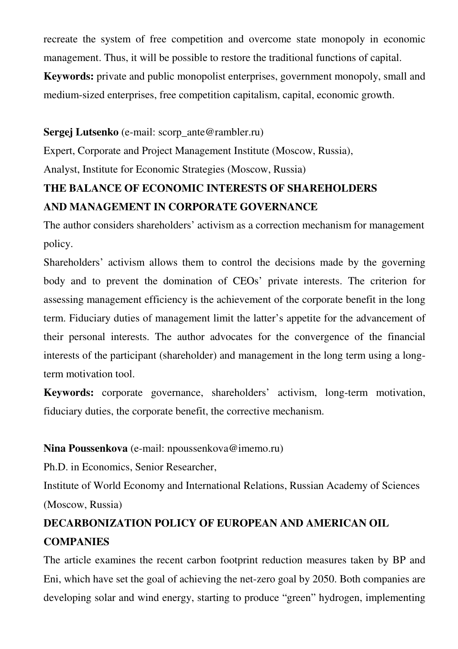recreate the system of free competition and overcome state monopoly in economic management. Thus, it will be possible to restore the traditional functions of capital.

**Keywords:** private and public monopolist enterprises, government monopoly, small and medium-sized enterprises, free competition capitalism, capital, economic growth.

### **Sergej Lutsenko** (e-mail: scorp\_ante@rambler.ru)

Expert, Corporate and Project Management Institute (Moscow, Russia),

Analyst, Institute for Economic Strategies (Moscow, Russia)

## **THE BALANCE OF ECONOMIC INTERESTS OF SHAREHOLDERS AND MANAGEMENT IN CORPORATE GOVERNANCE**

The author considers shareholders' activism as a correction mechanism for management policy.

Shareholders' activism allows them to control the decisions made by the governing body and to prevent the domination of CEOs' private interests. The criterion for assessing management efficiency is the achievement of the corporate benefit in the long term. Fiduciary duties of management limit the latter's appetite for the advancement of their personal interests. The author advocates for the convergence of the financial interests of the participant (shareholder) and management in the long term using a longterm motivation tool.

**Keywords:** corporate governance, shareholders' activism, long-term motivation, fiduciary duties, the corporate benefit, the corrective mechanism.

## **Nina Poussenkova** (e-mail: npoussenkova@imemo.ru)

Ph.D. in Economics, Senior Researcher,

Institute of World Economy and International Relations, Russian Academy of Sciences (Moscow, Russia)

# **DECARBONIZATION POLICY OF EUROPEAN AND AMERICAN OIL COMPANIES**

The article examines the recent carbon footprint reduction measures taken by BP and Eni, which have set the goal of achieving the net-zero goal by 2050. Both companies are developing solar and wind energy, starting to produce "green" hydrogen, implementing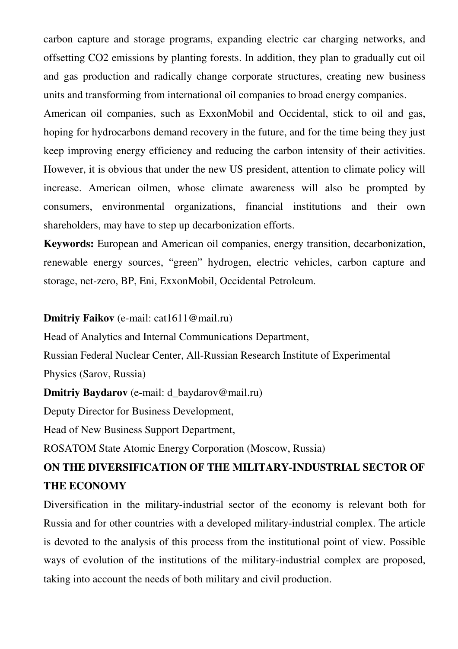carbon capture and storage programs, expanding electric car charging networks, and offsetting CO2 emissions by planting forests. In addition, they plan to gradually cut oil and gas production and radically change corporate structures, creating new business units and transforming from international oil companies to broad energy companies.

American oil companies, such as ExxonMobil and Occidental, stick to oil and gas, hoping for hydrocarbons demand recovery in the future, and for the time being they just keep improving energy efficiency and reducing the carbon intensity of their activities. However, it is obvious that under the new US president, attention to climate policy will increase. American oilmen, whose climate awareness will also be prompted by consumers, environmental organizations, financial institutions and their own shareholders, may have to step up decarbonization efforts.

**Keywords:** European and American oil companies, energy transition, decarbonization, renewable energy sources, "green" hydrogen, electric vehicles, carbon capture and storage, net-zero, BP, Eni, ExxonMobil, Occidental Petroleum.

#### **Dmitriy Faikov** (e-mail: cat1611@mail.ru)

Head of Analytics and Internal Communications Department,

Russian Federal Nuclear Center, All-Russian Research Institute of Experimental Physics (Sarov, Russia)

**Dmitriy Baydarov** (e-mail: d\_baydarov@mail.ru)

Deputy Director for Business Development,

Head of New Business Support Department,

ROSATOM State Atomic Energy Corporation (Moscow, Russia)

## **ON THE DIVERSIFICATION OF THE MILITARY-INDUSTRIAL SECTOR OF THE ECONOMY**

Diversification in the military-industrial sector of the economy is relevant both for Russia and for other countries with a developed military-industrial complex. The article is devoted to the analysis of this process from the institutional point of view. Possible ways of evolution of the institutions of the military-industrial complex are proposed, taking into account the needs of both military and civil production.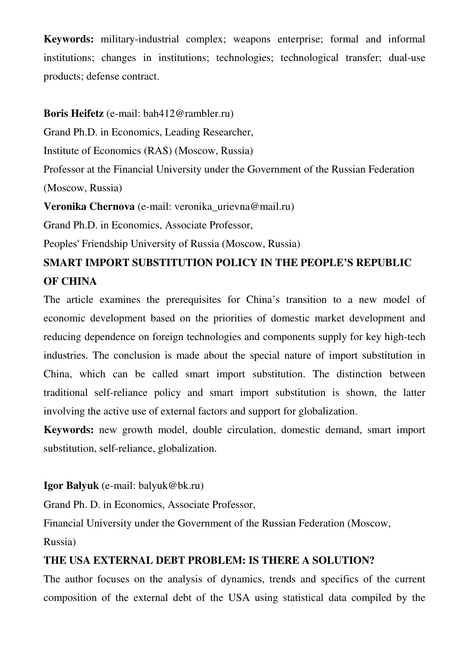**Keywords:** military-industrial complex; weapons enterprise; formal and informal institutions; changes in institutions; technologies; technological transfer; dual-use products; defense contract.

## **Boris Heifetz** (e-mail: bah412@rambler.ru)

Grand Ph.D. in Economics, Leading Researcher,

Institute of Economics (RAS) (Moscow, Russia)

Professor at the Financial University under the Government of the Russian Federation (Moscow, Russia)

**Veronika Chernova** (e-mail: veronika\_urievna@mail.ru)

Grand Ph.D. in Economics, Associate Professor,

Peoples' Friendship University of Russia (Moscow, Russia)

# **SMART IMPORT SUBSTITUTION POLICY IN THE PEOPLE'S REPUBLIC OF CHINA**

The article examines the prerequisites for China's transition to a new model of economic development based on the priorities of domestic market development and reducing dependence on foreign technologies and components supply for key high-tech industries. The conclusion is made about the special nature of import substitution in China, which can be called smart import substitution. The distinction between traditional self-reliance policy and smart import substitution is shown, the latter involving the active use of external factors and support for globalization.

**Keywords:** new growth model, double circulation, domestic demand, smart import substitution, self-reliance, globalization.

## **Igor Balyuk** (e-mail: balyuk@bk.ru)

Grand Ph. D. in Economics, Associate Professor,

Financial University under the Government of the Russian Federation (Moscow,

Russia)

## **THE USA EXTERNAL DEBT PROBLEM: IS THERE A SOLUTION?**

The author focuses on the analysis of dynamics, trends and specifics of the current composition of the external debt of the USA using statistical data compiled by the